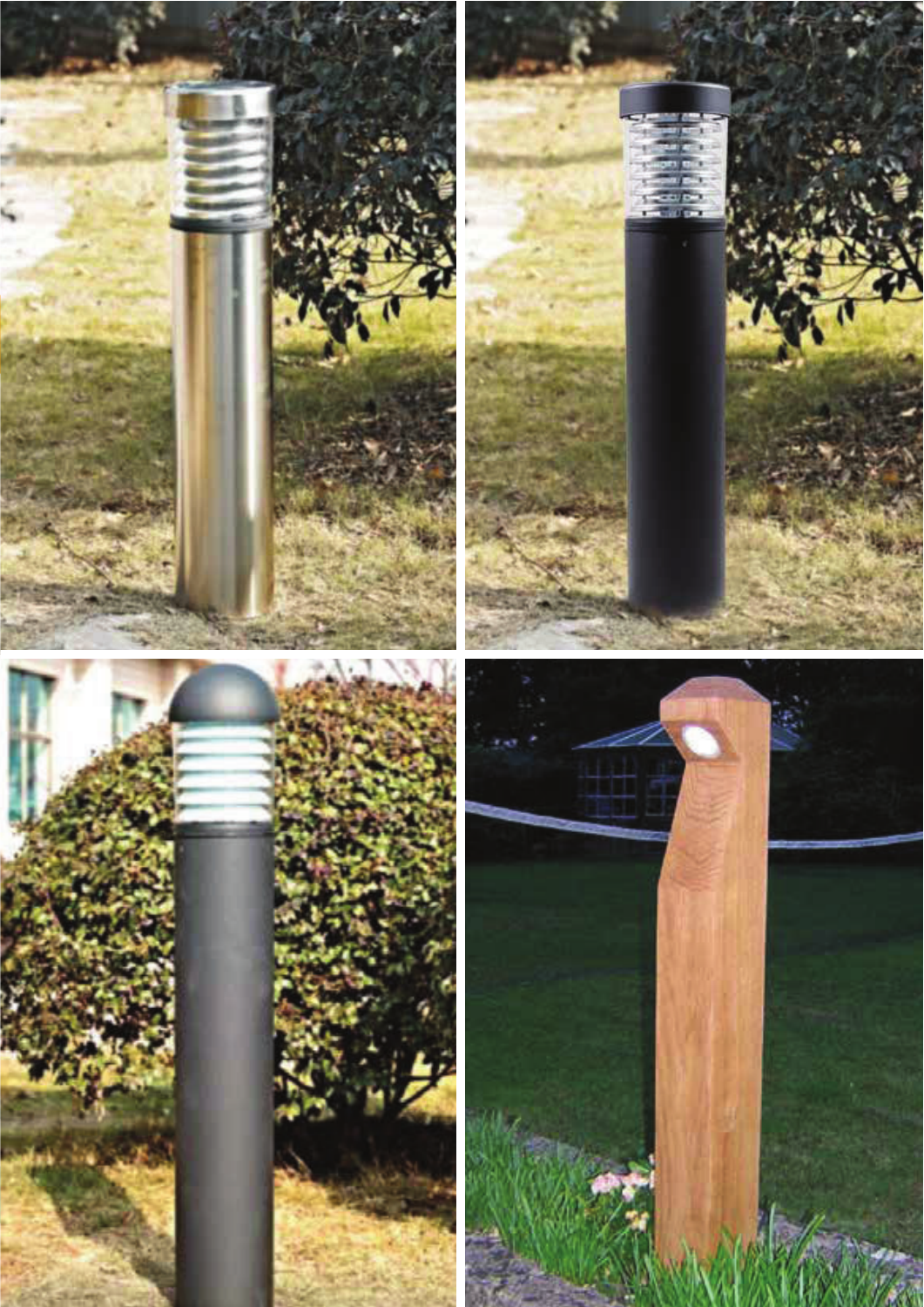